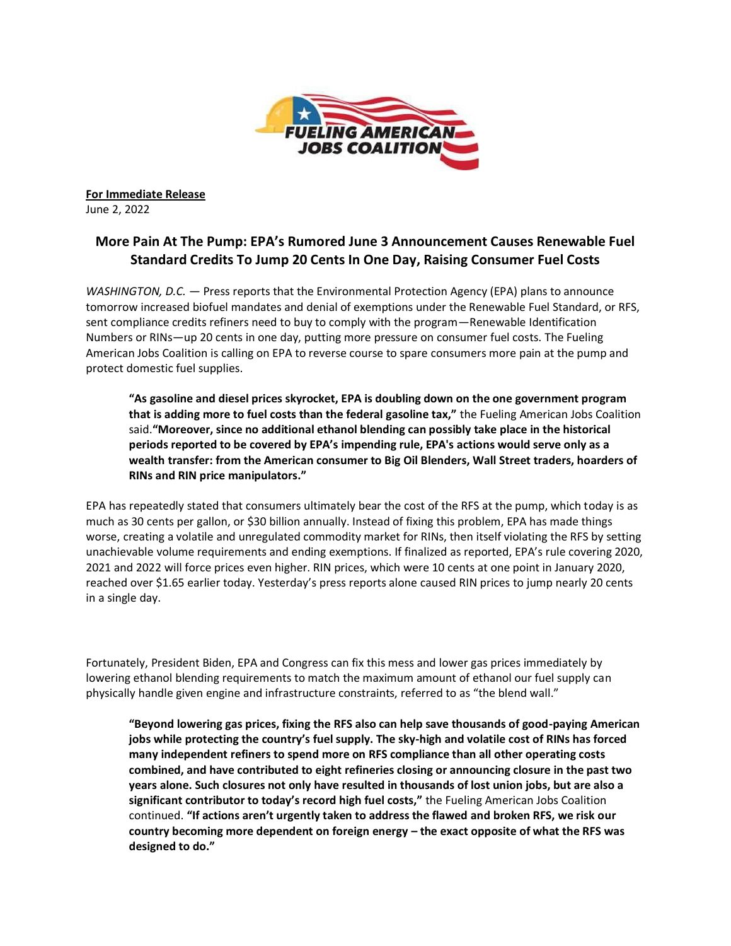

**For Immediate Release** June 2, 2022

## **More Pain At The Pump: EPA's Rumored June 3 Announcement Causes Renewable Fuel Standard Credits To Jump 20 Cents In One Day, Raising Consumer Fuel Costs**

*WASHINGTON, D.C.* — Press reports that the Environmental Protection Agency (EPA) plans to announce tomorrow increased biofuel mandates and denial of exemptions under the Renewable Fuel Standard, or RFS, sent compliance credits refiners need to buy to comply with the program—Renewable Identification Numbers or RINs—up 20 cents in one day, putting more pressure on consumer fuel costs. The Fueling American Jobs Coalition is calling on EPA to reverse course to spare consumers more pain at the pump and protect domestic fuel supplies.

**"As gasoline and diesel prices skyrocket, EPA is doubling down on the one government program that is adding more to fuel costs than the federal gasoline tax,"** the Fueling American Jobs Coalition said.**"Moreover, since no additional ethanol blending can possibly take place in the historical periods reported to be covered by EPA's impending rule, EPA's actions would serve only as a wealth transfer: from the American consumer to Big Oil Blenders, Wall Street traders, hoarders of RINs and RIN price manipulators."**

EPA has repeatedly stated that consumers ultimately bear the cost of the RFS at the pump, which today is as much as 30 cents per gallon, or \$30 billion annually. Instead of fixing this problem, EPA has made things worse, creating a volatile and unregulated commodity market for RINs, then itself violating the RFS by setting unachievable volume requirements and ending exemptions. If finalized as reported, EPA's rule covering 2020, 2021 and 2022 will force prices even higher. RIN prices, which were 10 cents at one point in January 2020, reached over \$1.65 earlier today. Yesterday's press reports alone caused RIN prices to jump nearly 20 cents in a single day.

Fortunately, President Biden, EPA and Congress can fix this mess and lower gas prices immediately by lowering ethanol blending requirements to match the maximum amount of ethanol our fuel supply can physically handle given engine and infrastructure constraints, referred to as "the blend wall."

**"Beyond lowering gas prices, fixing the RFS also can help save thousands of good-paying American jobs while protecting the country's fuel supply. The sky-high and volatile cost of RINs has forced many independent refiners to spend more on RFS compliance than all other operating costs combined, and have contributed to eight refineries closing or announcing closure in the past two years alone. Such closures not only have resulted in thousands of lost union jobs, but are also a significant contributor to today's record high fuel costs,"** the Fueling American Jobs Coalition continued. **"If actions aren't urgently taken to address the flawed and broken RFS, we risk our country becoming more dependent on foreign energy – the exact opposite of what the RFS was designed to do."**